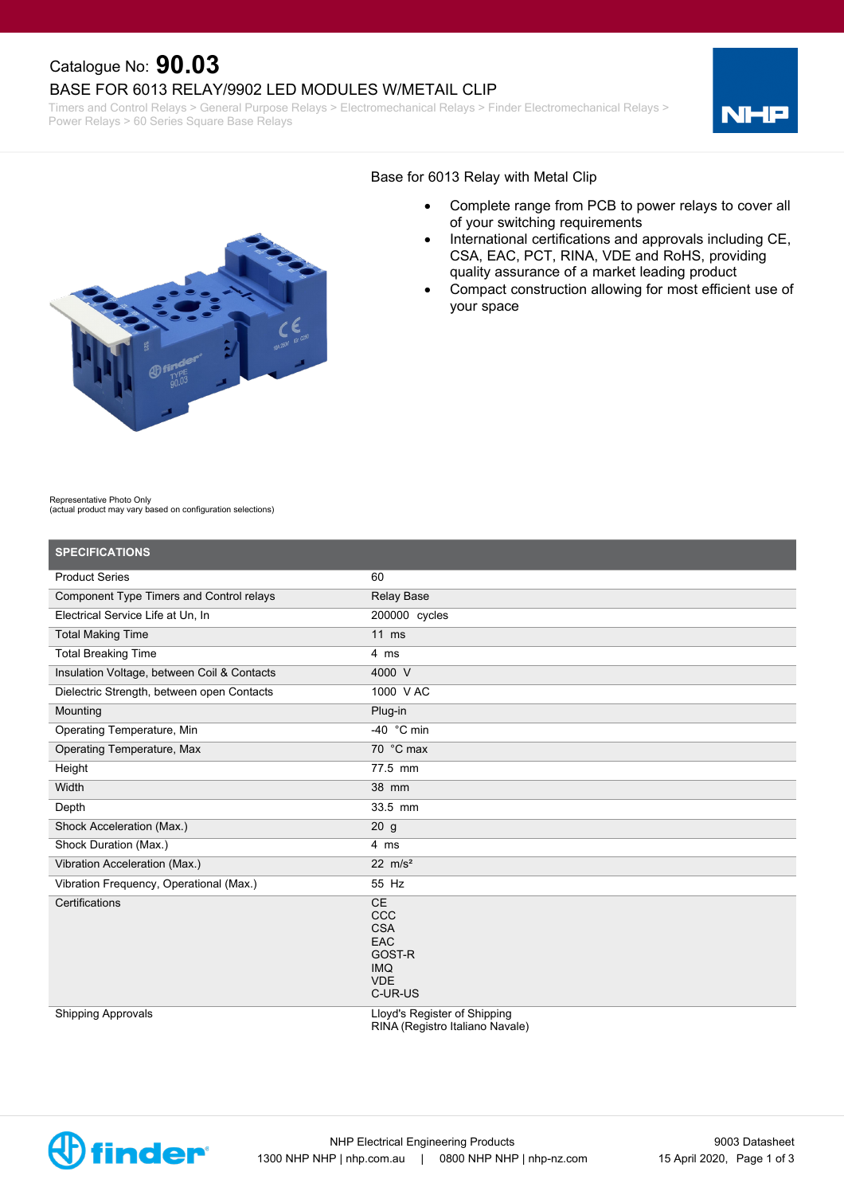## Catalogue No: **90.03**

#### BASE FOR 6013 RELAY/9902 LED MODULES W/METAIL CLIP

Timers and Control Relays > General Purpose Relays > Electromechanical Relays > Finder Electromechanical Relays > Power Relays > 60 Series Square Base Relays





#### Base for 6013 Relay with Metal Clip

- · Complete range from PCB to power relays to cover all of your switching requirements
- · International certifications and approvals including CE, CSA, EAC, PCT, RINA, VDE and RoHS, providing quality assurance of a market leading product
- Compact construction allowing for most efficient use of your space

Representative Photo Only (actual product may vary based on configuration selections)

| <b>SPECIFICATIONS</b>                       |                                                                                               |
|---------------------------------------------|-----------------------------------------------------------------------------------------------|
| <b>Product Series</b>                       | 60                                                                                            |
| Component Type Timers and Control relays    | <b>Relay Base</b>                                                                             |
| Electrical Service Life at Un, In           | 200000 cycles                                                                                 |
| <b>Total Making Time</b>                    | $11$ ms                                                                                       |
| <b>Total Breaking Time</b>                  | 4 ms                                                                                          |
| Insulation Voltage, between Coil & Contacts | 4000 V                                                                                        |
| Dielectric Strength, between open Contacts  | 1000 V AC                                                                                     |
| Mounting                                    | Plug-in                                                                                       |
| Operating Temperature, Min                  | -40 $^{\circ}$ C min                                                                          |
| <b>Operating Temperature, Max</b>           | 70 °C max                                                                                     |
| Height                                      | 77.5 mm                                                                                       |
| Width                                       | 38 mm                                                                                         |
| Depth                                       | 33.5 mm                                                                                       |
| Shock Acceleration (Max.)                   | 20 <sub>g</sub>                                                                               |
| Shock Duration (Max.)                       | 4 ms                                                                                          |
| Vibration Acceleration (Max.)               | 22 $m/s^2$                                                                                    |
| Vibration Frequency, Operational (Max.)     | 55 Hz                                                                                         |
| Certifications                              | <b>CE</b><br><b>CCC</b><br><b>CSA</b><br>EAC<br>GOST-R<br><b>IMQ</b><br><b>VDE</b><br>C-UR-US |
| <b>Shipping Approvals</b>                   | Lloyd's Register of Shipping<br>RINA (Registro Italiano Navale)                               |

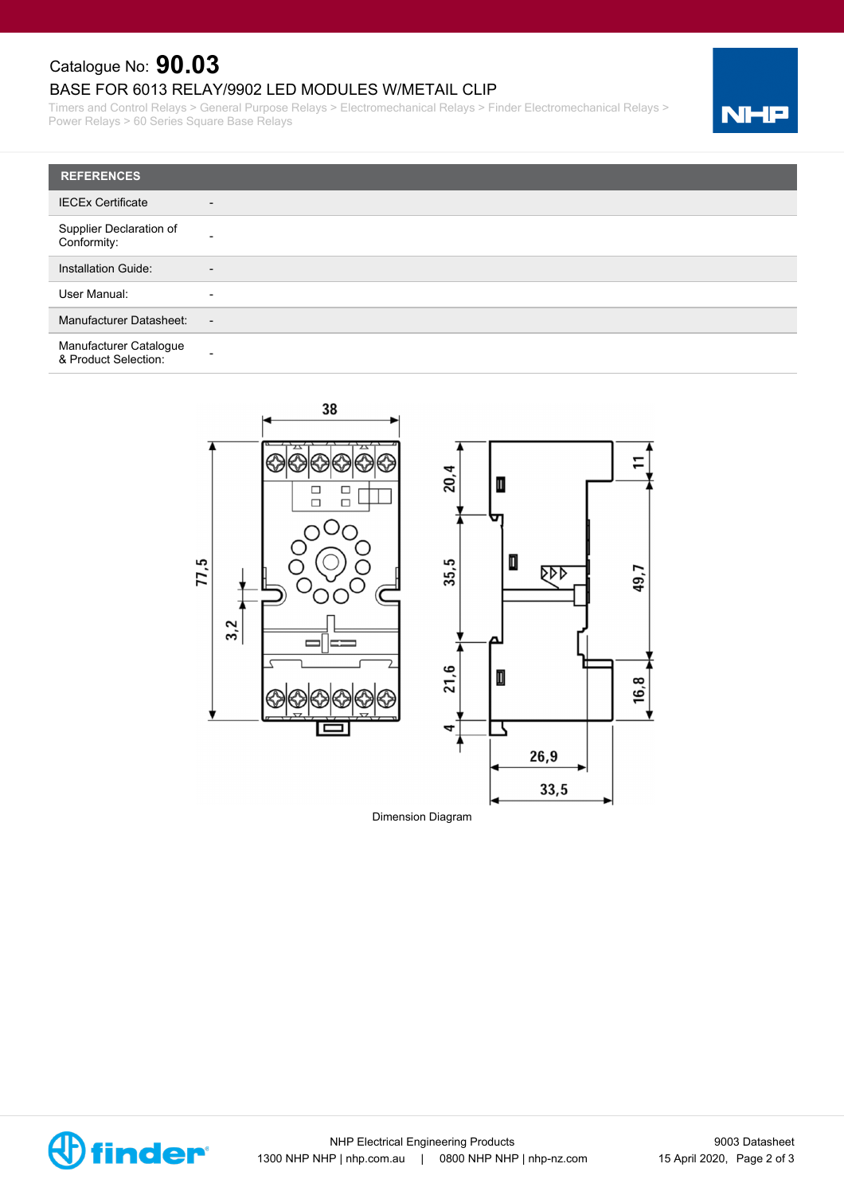# Catalogue No: **90.03**

### BASE FOR 6013 RELAY/9902 LED MODULES W/METAIL CLIP

Timers and Control Relays > General Purpose Relays > Electromechanical Relays > Finder Electromechanical Relays > Power Relays > 60 Series Square Base Relays





Dimension Diagram